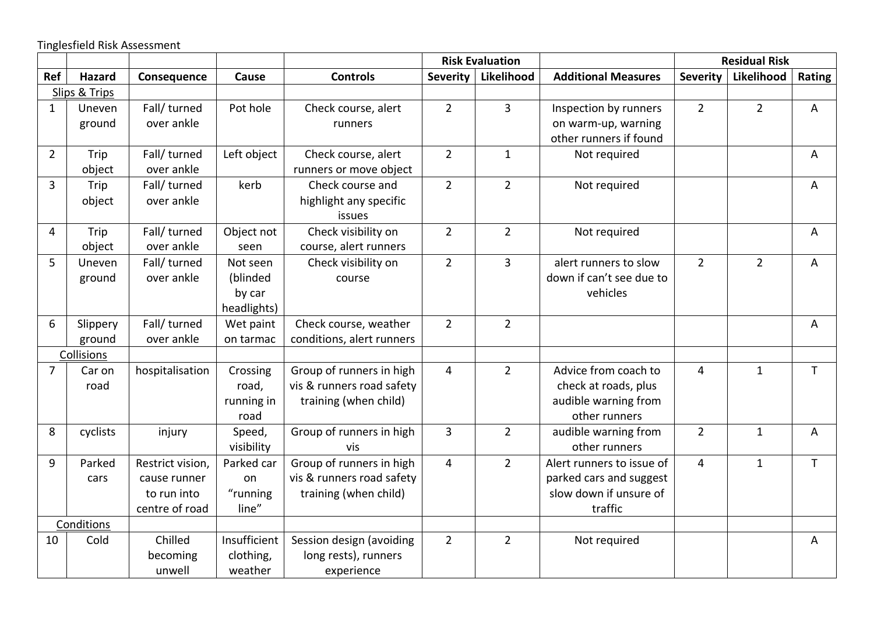Tinglesfield Risk Assessment

|                |               |                  |              |                           | <b>Risk Evaluation</b> |                       |                            | <b>Residual Risk</b> |                |              |
|----------------|---------------|------------------|--------------|---------------------------|------------------------|-----------------------|----------------------------|----------------------|----------------|--------------|
| Ref            | <b>Hazard</b> | Consequence      | Cause        | <b>Controls</b>           |                        | Severity   Likelihood | <b>Additional Measures</b> | <b>Severity</b>      | Likelihood     | Rating       |
|                | Slips & Trips |                  |              |                           |                        |                       |                            |                      |                |              |
| $\mathbf{1}$   | Uneven        | Fall/ turned     | Pot hole     | Check course, alert       | $\overline{2}$         | $\overline{3}$        | Inspection by runners      | $\overline{2}$       | $\overline{2}$ | A            |
|                | ground        | over ankle       |              | runners                   |                        |                       | on warm-up, warning        |                      |                |              |
|                |               |                  |              |                           |                        |                       | other runners if found     |                      |                |              |
| $\overline{2}$ | Trip          | Fall/ turned     | Left object  | Check course, alert       | $\overline{2}$         | $\mathbf{1}$          | Not required               |                      |                | A            |
|                | object        | over ankle       |              | runners or move object    |                        |                       |                            |                      |                |              |
| $\overline{3}$ | Trip          | Fall/ turned     | kerb         | Check course and          | $\overline{2}$         | $\overline{2}$        | Not required               |                      |                | A            |
|                | object        | over ankle       |              | highlight any specific    |                        |                       |                            |                      |                |              |
|                |               |                  |              | issues                    |                        |                       |                            |                      |                |              |
| 4              | Trip          | Fall/ turned     | Object not   | Check visibility on       | $\overline{2}$         | $\overline{2}$        | Not required               |                      |                | A            |
|                | object        | over ankle       | seen         | course, alert runners     |                        |                       |                            |                      |                |              |
| 5              | Uneven        | Fall/ turned     | Not seen     | Check visibility on       | $\overline{2}$         | $\overline{3}$        | alert runners to slow      | $\overline{2}$       | $\overline{2}$ | A            |
|                | ground        | over ankle       | (blinded     | course                    |                        |                       | down if can't see due to   |                      |                |              |
|                |               |                  | by car       |                           |                        |                       | vehicles                   |                      |                |              |
|                |               |                  | headlights)  |                           |                        |                       |                            |                      |                |              |
| 6              | Slippery      | Fall/ turned     | Wet paint    | Check course, weather     | $\overline{2}$         | $\overline{2}$        |                            |                      |                | A            |
|                | ground        | over ankle       | on tarmac    | conditions, alert runners |                        |                       |                            |                      |                |              |
|                | Collisions    |                  |              |                           |                        |                       |                            |                      |                |              |
| 7              | Car on        | hospitalisation  | Crossing     | Group of runners in high  | $\overline{4}$         | $\overline{2}$        | Advice from coach to       | $\overline{4}$       | $\mathbf{1}$   | $\mathsf T$  |
|                | road          |                  | road,        | vis & runners road safety |                        |                       | check at roads, plus       |                      |                |              |
|                |               |                  | running in   | training (when child)     |                        |                       | audible warning from       |                      |                |              |
|                |               |                  | road         |                           |                        |                       | other runners              |                      |                |              |
| 8              | cyclists      | injury           | Speed,       | Group of runners in high  | 3                      | $\overline{2}$        | audible warning from       | $\overline{2}$       | $\mathbf{1}$   | A            |
|                |               |                  | visibility   | vis                       |                        |                       | other runners              |                      |                |              |
| 9              | Parked        | Restrict vision, | Parked car   | Group of runners in high  | $\overline{4}$         | $\overline{2}$        | Alert runners to issue of  | $\overline{4}$       | $\mathbf{1}$   | $\mathsf{T}$ |
|                | cars          | cause runner     | on           | vis & runners road safety |                        |                       | parked cars and suggest    |                      |                |              |
|                |               | to run into      | "running     | training (when child)     |                        |                       | slow down if unsure of     |                      |                |              |
|                |               | centre of road   | line"        |                           |                        |                       | traffic                    |                      |                |              |
|                | Conditions    |                  |              |                           |                        |                       |                            |                      |                |              |
| 10             | Cold          | Chilled          | Insufficient | Session design (avoiding  | $\overline{2}$         | $\overline{2}$        | Not required               |                      |                | A            |
|                |               | becoming         | clothing,    | long rests), runners      |                        |                       |                            |                      |                |              |
|                |               | unwell           | weather      | experience                |                        |                       |                            |                      |                |              |